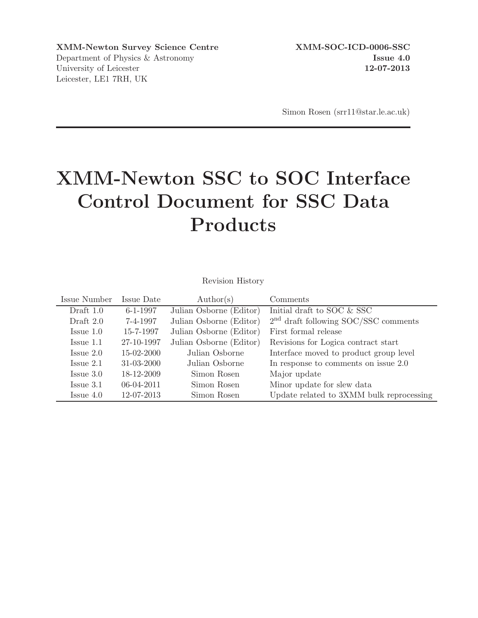XMM-Newton Survey Science Centre XMM-SOC-ICD-0006-SSC Department of Physics & Astronomy **Issue 4.0** University of Leicester 12-07-2013 Leicester, LE1 7RH, UK

Simon Rosen (srr11@star.le.ac.uk)

# XMM-Newton SSC to SOC Interface Control Document for SSC Data Products

Revision History

| Issue Number          | Issue Date       | $\text{Author}(s)$      | Comments                                 |
|-----------------------|------------------|-------------------------|------------------------------------------|
| Draft $1.0$           | $6 - 1 - 1997$   | Julian Osborne (Editor) | Initial draft to SOC & SSC               |
| Draft $2.0$           | 7-4-1997         | Julian Osborne (Editor) | $2nd$ draft following SOC/SSC comments   |
| $I_{\text{ssue}} 1.0$ | 15-7-1997        | Julian Osborne (Editor) | First formal release                     |
| Issue 1.1             | 27-10-1997       | Julian Osborne (Editor) | Revisions for Logica contract start      |
| $I_{\text{ssue}} 2.0$ | 15-02-2000       | Julian Osborne          | Interface moved to product group level   |
| Issue 2.1             | $31 - 03 - 2000$ | Julian Osborne          | In response to comments on issue 2.0     |
| $I_{\text{ssue}} 3.0$ | 18-12-2009       | Simon Rosen             | Major update                             |
| $I_{\text{ssue}} 3.1$ | $06-04-2011$     | Simon Rosen             | Minor update for slew data               |
| $I$ ssue $4.0$        | 12-07-2013       | Simon Rosen             | Update related to 3XMM bulk reprocessing |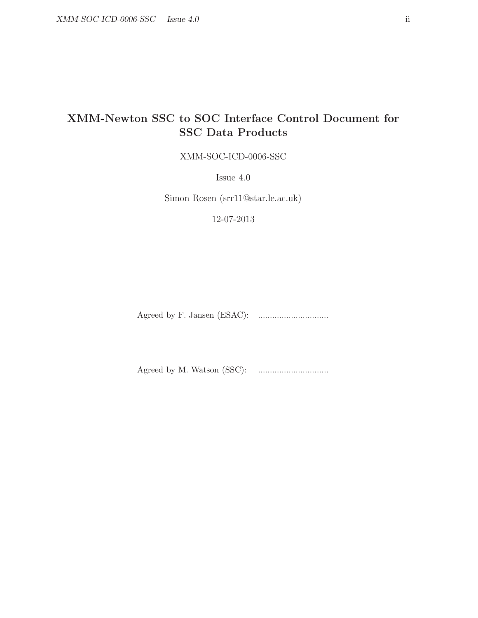## XMM-Newton SSC to SOC Interface Control Document for SSC Data Products

XMM-SOC-ICD-0006-SSC

Issue 4.0

Simon Rosen (srr11@star.le.ac.uk)

12-07-2013

Agreed by F. Jansen (ESAC): ..............................

Agreed by M. Watson (SSC): ..............................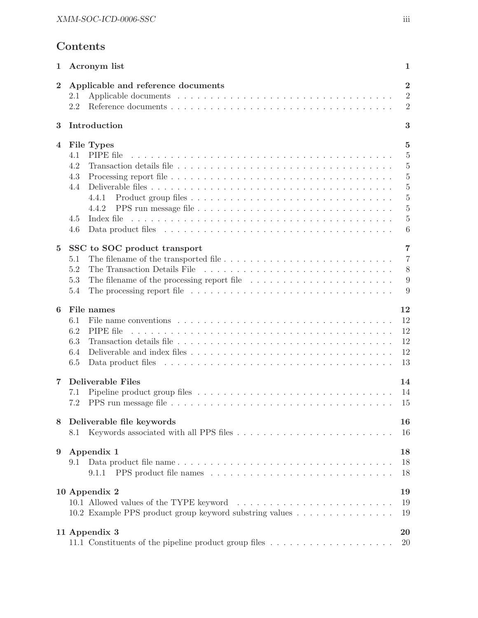## Contents

| 1                | Acronym list                                                                                                                                                                                                                                                           | 1                                                                                                                                                 |
|------------------|------------------------------------------------------------------------------------------------------------------------------------------------------------------------------------------------------------------------------------------------------------------------|---------------------------------------------------------------------------------------------------------------------------------------------------|
| $\overline{2}$   | Applicable and reference documents<br>2.1<br>2.2                                                                                                                                                                                                                       | $\overline{2}$<br>$\overline{2}$<br>$\overline{2}$                                                                                                |
| 3                | Introduction                                                                                                                                                                                                                                                           | 3                                                                                                                                                 |
| 4                | File Types<br>PIPE file<br>4.1<br>4.2<br>4.3<br>4.4<br>4.4.1<br>4.4.2<br>4.5<br>4.6                                                                                                                                                                                    | $\overline{5}$<br>$\overline{5}$<br>$\overline{5}$<br>$\overline{5}$<br>$\overline{5}$<br>$\overline{5}$<br>$\overline{5}$<br>$\overline{5}$<br>6 |
| $\bf{5}$         | SSC to SOC product transport<br>5.1<br>5.2<br>5.3<br>The filename of the processing report file $\ldots \ldots \ldots \ldots \ldots \ldots \ldots$<br>The processing report file $\ldots \ldots \ldots \ldots \ldots \ldots \ldots \ldots \ldots \ldots \ldots$<br>5.4 | $\overline{7}$<br>$\overline{7}$<br>8<br>9<br>9                                                                                                   |
| 6                | File names<br>File name conventions $\ldots \ldots \ldots \ldots \ldots \ldots \ldots \ldots \ldots \ldots \ldots$<br>6.1<br>6.2<br>PIPE file<br>6.3<br>6.4<br>6.5                                                                                                     | 12<br>12<br>12<br>12<br>12<br>13                                                                                                                  |
| 7                | <b>Deliverable Files</b><br>7.1<br>7.2                                                                                                                                                                                                                                 | 14<br>14<br>15                                                                                                                                    |
| 8                | Deliverable file keywords<br>8.1                                                                                                                                                                                                                                       | 16<br>16                                                                                                                                          |
| $\boldsymbol{9}$ | Appendix 1<br>9.1<br>9.1.1                                                                                                                                                                                                                                             | 18<br>18<br>18                                                                                                                                    |
|                  | 10 Appendix 2<br>10.2 Example PPS product group keyword substring values                                                                                                                                                                                               | 19<br>19<br>19                                                                                                                                    |
|                  | 11 Appendix 3<br>11.1 Constituents of the pipeline product group files                                                                                                                                                                                                 | 20<br>20                                                                                                                                          |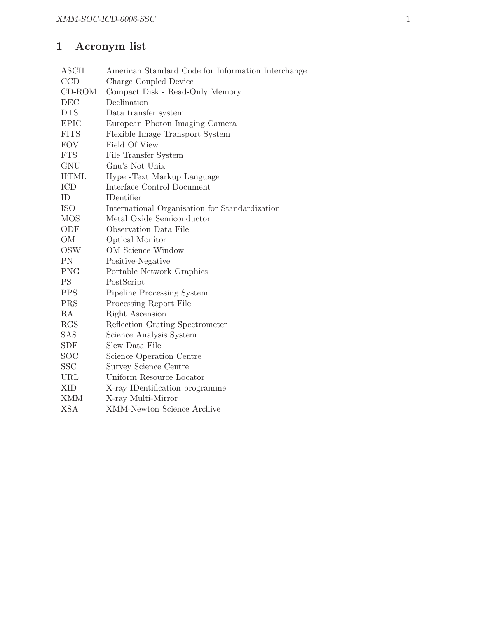## 1 Acronym list

| <b>ASCII</b>      | American Standard Code for Information Interchange |  |  |
|-------------------|----------------------------------------------------|--|--|
| <b>CCD</b>        | Charge Coupled Device                              |  |  |
| $CD$ -ROM         | Compact Disk - Read-Only Memory                    |  |  |
| DEC               | Declination                                        |  |  |
| <b>DTS</b>        | Data transfer system                               |  |  |
| <b>EPIC</b>       | European Photon Imaging Camera                     |  |  |
| <b>FITS</b>       | Flexible Image Transport System                    |  |  |
| <b>FOV</b>        | Field Of View                                      |  |  |
| <b>FTS</b>        | File Transfer System                               |  |  |
| GNU               | Gnu's Not Unix                                     |  |  |
| <b>HTML</b>       | Hyper-Text Markup Language                         |  |  |
| <b>ICD</b>        | Interface Control Document                         |  |  |
| ID                | <b>IDentifier</b>                                  |  |  |
| <b>ISO</b>        | International Organisation for Standardization     |  |  |
| <b>MOS</b>        | Metal Oxide Semiconductor                          |  |  |
| ODF               | Observation Data File                              |  |  |
| OM                | Optical Monitor                                    |  |  |
| OSW               | <b>OM</b> Science Window                           |  |  |
| PN                | Positive-Negative                                  |  |  |
| <b>PNG</b>        | Portable Network Graphics                          |  |  |
| PS                | PostScript                                         |  |  |
| <b>PPS</b>        | Pipeline Processing System                         |  |  |
| <b>PRS</b>        | Processing Report File                             |  |  |
| RA                | Right Ascension                                    |  |  |
| <b>RGS</b>        | Reflection Grating Spectrometer                    |  |  |
| SAS               | Science Analysis System                            |  |  |
| <b>SDF</b>        | Slew Data File                                     |  |  |
| $_{\mathrm{SOC}}$ | Science Operation Centre                           |  |  |
| SSC               | Survey Science Centre                              |  |  |
| URL               | Uniform Resource Locator                           |  |  |
| <b>XID</b>        | X-ray IDentification programme                     |  |  |
| <b>XMM</b>        | X-ray Multi-Mirror                                 |  |  |
| <b>XSA</b>        | <b>XMM-Newton Science Archive</b>                  |  |  |
|                   |                                                    |  |  |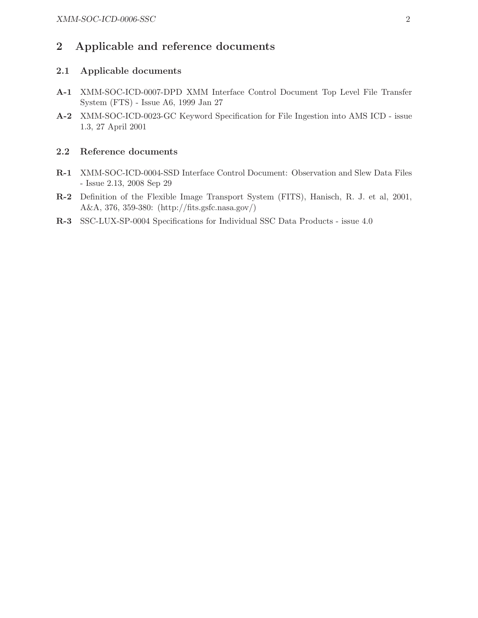## 2 Applicable and reference documents

## 2.1 Applicable documents

- A-1 XMM-SOC-ICD-0007-DPD XMM Interface Control Document Top Level File Transfer System (FTS) - Issue A6, 1999 Jan 27
- A-2 XMM-SOC-ICD-0023-GC Keyword Specification for File Ingestion into AMS ICD issue 1.3, 27 April 2001

## 2.2 Reference documents

- R-1 XMM-SOC-ICD-0004-SSD Interface Control Document: Observation and Slew Data Files - Issue 2.13, 2008 Sep 29
- R-2 Definition of the Flexible Image Transport System (FITS), Hanisch, R. J. et al, 2001, A&A, 376, 359-380: (http://fits.gsfc.nasa.gov/)
- R-3 SSC-LUX-SP-0004 Specifications for Individual SSC Data Products issue 4.0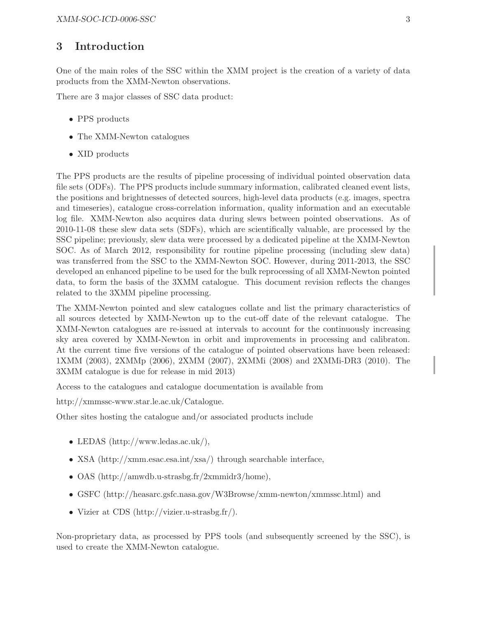## 3 Introduction

One of the main roles of the SSC within the XMM project is the creation of a variety of data products from the XMM-Newton observations.

There are 3 major classes of SSC data product:

- PPS products
- The XMM-Newton catalogues
- XID products

The PPS products are the results of pipeline processing of individual pointed observation data file sets (ODFs). The PPS products include summary information, calibrated cleaned event lists, the positions and brightnesses of detected sources, high-level data products (e.g. images, spectra and timeseries), catalogue cross-correlation information, quality information and an executable log file. XMM-Newton also acquires data during slews between pointed observations. As of 2010-11-08 these slew data sets (SDFs), which are scientifically valuable, are processed by the SSC pipeline; previously, slew data were processed by a dedicated pipeline at the XMM-Newton SOC. As of March 2012, responsibility for routine pipeline processing (including slew data) was transferred from the SSC to the XMM-Newton SOC. However, during 2011-2013, the SSC developed an enhanced pipeline to be used for the bulk reprocessing of all XMM-Newton pointed data, to form the basis of the 3XMM catalogue. This document revision reflects the changes related to the 3XMM pipeline processing.

The XMM-Newton pointed and slew catalogues collate and list the primary characteristics of all sources detected by XMM-Newton up to the cut-off date of the relevant catalogue. The XMM-Newton catalogues are re-issued at intervals to account for the continuously increasing sky area covered by XMM-Newton in orbit and improvements in processing and calibraton. At the current time five versions of the catalogue of pointed observations have been released: 1XMM (2003), 2XMMp (2006), 2XMM (2007), 2XMMi (2008) and 2XMMi-DR3 (2010). The 3XMM catalogue is due for release in mid 2013)

Access to the catalogues and catalogue documentation is available from

http://xmmssc-www.star.le.ac.uk/Catalogue.

Other sites hosting the catalogue and/or associated products include

- LEDAS (http://www.ledas.ac.uk/),
- XSA (http://xmm.esac.esa.int/xsa/) through searchable interface,
- OAS (http://amwdb.u-strasbg.fr/2xmmidr3/home),
- GSFC (http://heasarc.gsfc.nasa.gov/W3Browse/xmm-newton/xmmssc.html) and
- Vizier at CDS (http://vizier.u-strasbg.fr/).

Non-proprietary data, as processed by PPS tools (and subsequently screened by the SSC), is used to create the XMM-Newton catalogue.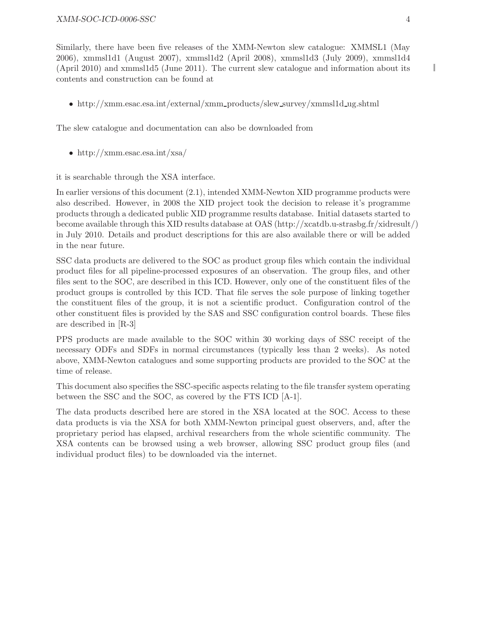Similarly, there have been five releases of the XMM-Newton slew catalogue: XMMSL1 (May 2006), xmmsl1d1 (August 2007), xmmsl1d2 (April 2008), xmmsl1d3 (July 2009), xmmsl1d4 (April 2010) and xmmsl1d5 (June 2011). The current slew catalogue and information about its contents and construction can be found at

• http://xmm.esac.esa.int/external/xmm\_products/slew\_survey/xmmsl1d\_ug.shtml

The slew catalogue and documentation can also be downloaded from

• http://xmm.esac.esa.int/xsa/

it is searchable through the XSA interface.

In earlier versions of this document (2.1), intended XMM-Newton XID programme products were also described. However, in 2008 the XID project took the decision to release it's programme products through a dedicated public XID programme results database. Initial datasets started to become available through this XID results database at OAS (http://xcatdb.u-strasbg.fr/xidresult/) in July 2010. Details and product descriptions for this are also available there or will be added in the near future.

SSC data products are delivered to the SOC as product group files which contain the individual product files for all pipeline-processed exposures of an observation. The group files, and other files sent to the SOC, are described in this ICD. However, only one of the constituent files of the product groups is controlled by this ICD. That file serves the sole purpose of linking together the constituent files of the group, it is not a scientific product. Configuration control of the other constituent files is provided by the SAS and SSC configuration control boards. These files are described in [R-3]

PPS products are made available to the SOC within 30 working days of SSC receipt of the necessary ODFs and SDFs in normal circumstances (typically less than 2 weeks). As noted above, XMM-Newton catalogues and some supporting products are provided to the SOC at the time of release.

This document also specifies the SSC-specific aspects relating to the file transfer system operating between the SSC and the SOC, as covered by the FTS ICD [A-1].

The data products described here are stored in the XSA located at the SOC. Access to these data products is via the XSA for both XMM-Newton principal guest observers, and, after the proprietary period has elapsed, archival researchers from the whole scientific community. The XSA contents can be browsed using a web browser, allowing SSC product group files (and individual product files) to be downloaded via the internet.

L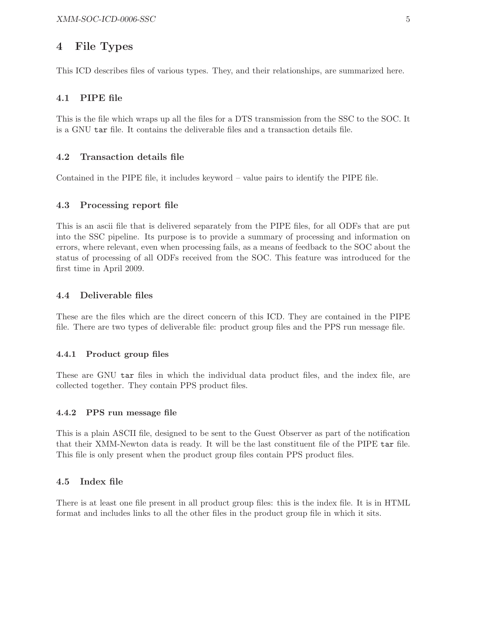## 4 File Types

This ICD describes files of various types. They, and their relationships, are summarized here.

#### 4.1 PIPE file

This is the file which wraps up all the files for a DTS transmission from the SSC to the SOC. It is a GNU tar file. It contains the deliverable files and a transaction details file.

#### 4.2 Transaction details file

Contained in the PIPE file, it includes keyword – value pairs to identify the PIPE file.

#### 4.3 Processing report file

This is an ascii file that is delivered separately from the PIPE files, for all ODFs that are put into the SSC pipeline. Its purpose is to provide a summary of processing and information on errors, where relevant, even when processing fails, as a means of feedback to the SOC about the status of processing of all ODFs received from the SOC. This feature was introduced for the first time in April 2009.

#### 4.4 Deliverable files

These are the files which are the direct concern of this ICD. They are contained in the PIPE file. There are two types of deliverable file: product group files and the PPS run message file.

#### 4.4.1 Product group files

These are GNU tar files in which the individual data product files, and the index file, are collected together. They contain PPS product files.

#### 4.4.2 PPS run message file

This is a plain ASCII file, designed to be sent to the Guest Observer as part of the notification that their XMM-Newton data is ready. It will be the last constituent file of the PIPE tar file. This file is only present when the product group files contain PPS product files.

#### 4.5 Index file

There is at least one file present in all product group files: this is the index file. It is in HTML format and includes links to all the other files in the product group file in which it sits.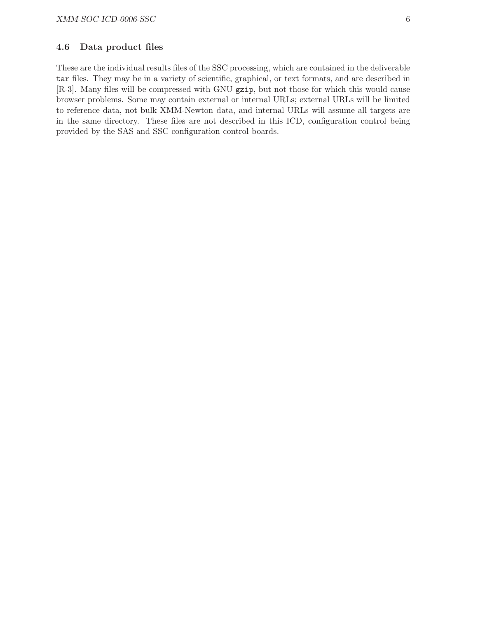### 4.6 Data product files

These are the individual results files of the SSC processing, which are contained in the deliverable tar files. They may be in a variety of scientific, graphical, or text formats, and are described in [R-3]. Many files will be compressed with GNU gzip, but not those for which this would cause browser problems. Some may contain external or internal URLs; external URLs will be limited to reference data, not bulk XMM-Newton data, and internal URLs will assume all targets are in the same directory. These files are not described in this ICD, configuration control being provided by the SAS and SSC configuration control boards.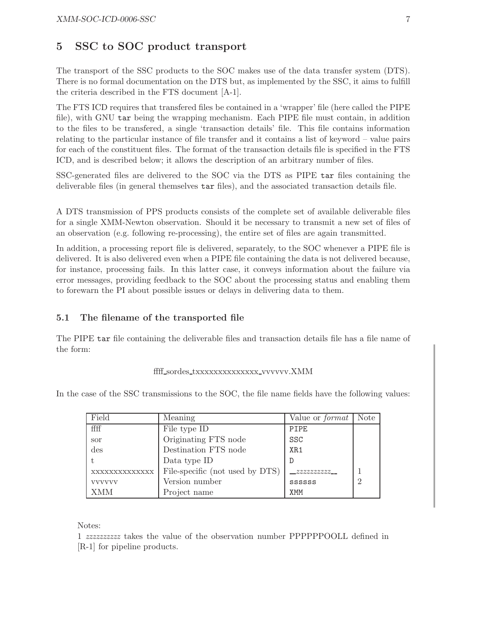## 5 SSC to SOC product transport

The transport of the SSC products to the SOC makes use of the data transfer system (DTS). There is no formal documentation on the DTS but, as implemented by the SSC, it aims to fulfill the criteria described in the FTS document [A-1].

The FTS ICD requires that transfered files be contained in a 'wrapper' file (here called the PIPE file), with GNU tar being the wrapping mechanism. Each PIPE file must contain, in addition to the files to be transfered, a single 'transaction details' file. This file contains information relating to the particular instance of file transfer and it contains a list of keyword – value pairs for each of the constituent files. The format of the transaction details file is specified in the FTS ICD, and is described below; it allows the description of an arbitrary number of files.

SSC-generated files are delivered to the SOC via the DTS as PIPE tar files containing the deliverable files (in general themselves tar files), and the associated transaction details file.

A DTS transmission of PPS products consists of the complete set of available deliverable files for a single XMM-Newton observation. Should it be necessary to transmit a new set of files of an observation (e.g. following re-processing), the entire set of files are again transmitted.

In addition, a processing report file is delivered, separately, to the SOC whenever a PIPE file is delivered. It is also delivered even when a PIPE file containing the data is not delivered because, for instance, processing fails. In this latter case, it conveys information about the failure via error messages, providing feedback to the SOC about the processing status and enabling them to forewarn the PI about possible issues or delays in delivering data to them.

#### 5.1 The filename of the transported file

The PIPE tar file containing the deliverable files and transaction details file has a file name of the form:

#### fff\_sordes\_txxxxxxxxxxxxxxxxx.vvvvvv.XMM

In the case of the SSC transmissions to the SOC, the file name fields have the following values:

| Field         | Meaning                         | Value or $format$ | <b>Note</b>   |
|---------------|---------------------------------|-------------------|---------------|
| ffff          | File type ID                    | PIPE              |               |
| sor           | Originating FTS node            | SSC               |               |
| des           | Destination FTS node            | XR1               |               |
|               | Data type ID                    |                   |               |
| XXXXXXXXXXXXX | File-specific (not used by DTS) |                   |               |
| <b>VVVVVV</b> | Version number                  | <b>SSSSSS</b>     | $\mathcal{D}$ |
| XMM           | Project name                    | <b>XMM</b>        |               |

#### Notes:

1 zzzzzzzzzz takes the value of the observation number PPPPPPOOLL defined in [R-1] for pipeline products.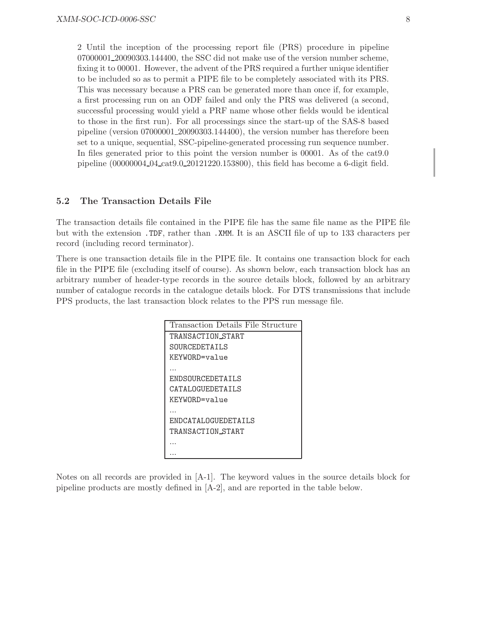2 Until the inception of the processing report file (PRS) procedure in pipeline 07000001\_20090303.144400, the SSC did not make use of the version number scheme, fixing it to 00001. However, the advent of the PRS required a further unique identifier to be included so as to permit a PIPE file to be completely associated with its PRS. This was necessary because a PRS can be generated more than once if, for example, a first processing run on an ODF failed and only the PRS was delivered (a second, successful processing would yield a PRF name whose other fields would be identical to those in the first run). For all processings since the start-up of the SAS-8 based pipeline (version 07000001 20090303.144400), the version number has therefore been set to a unique, sequential, SSC-pipeline-generated processing run sequence number. In files generated prior to this point the version number is 00001. As of the cat9.0 pipeline (00000004 04 cat9.0 20121220.153800), this field has become a 6-digit field.

#### 5.2 The Transaction Details File

The transaction details file contained in the PIPE file has the same file name as the PIPE file but with the extension .TDF, rather than .XMM. It is an ASCII file of up to 133 characters per record (including record terminator).

There is one transaction details file in the PIPE file. It contains one transaction block for each file in the PIPE file (excluding itself of course). As shown below, each transaction block has an arbitrary number of header-type records in the source details block, followed by an arbitrary number of catalogue records in the catalogue details block. For DTS transmissions that include PPS products, the last transaction block relates to the PPS run message file.

| Transaction Details File Structure |
|------------------------------------|
| TRANSACTION START                  |
| SOURCEDETAILS                      |
| KEYWORD=value                      |
|                                    |
| ENDSOURCEDETAILS                   |
| CATALOGUEDETAILS                   |
| KEYWORD=value                      |
|                                    |
| ENDCATALOGUEDETAILS                |
| TRANSACTION START                  |
|                                    |
|                                    |

Notes on all records are provided in [A-1]. The keyword values in the source details block for pipeline products are mostly defined in [A-2], and are reported in the table below.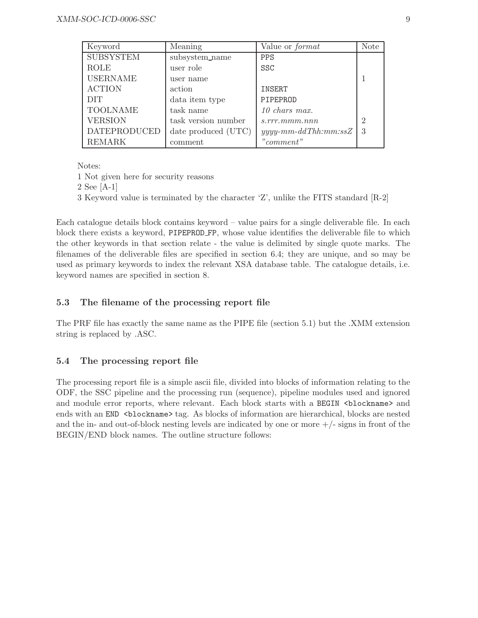| Keyword             | Meaning             | Value or <i>format</i>              | <b>Note</b>                 |
|---------------------|---------------------|-------------------------------------|-----------------------------|
| <b>SUBSYSTEM</b>    | subsystem_name      | <b>PPS</b>                          |                             |
| <b>ROLE</b>         | user role           | <b>SSC</b>                          |                             |
| <b>USERNAME</b>     | user name           |                                     |                             |
| <b>ACTION</b>       | action              | <b>INSERT</b>                       |                             |
| <b>DIT</b>          | data item type      | PIPEPROD                            |                             |
| <b>TOOLNAME</b>     | task name           | $10 \; \text{chars} \; \text{max}.$ |                             |
| <b>VERSION</b>      | task version number | s.rrr.mmm.nnn                       | $\mathcal{D}_{\mathcal{A}}$ |
| <b>DATEPRODUCED</b> | date produced (UTC) | $y y y y$ -mm-ddThh:mm:ssZ          | 3                           |
| <b>REMARK</b>       | comment             | "comment"                           |                             |

Notes:

1 Not given here for security reasons

2 See [A-1]

3 Keyword value is terminated by the character 'Z', unlike the FITS standard [R-2]

Each catalogue details block contains keyword – value pairs for a single deliverable file. In each block there exists a keyword, PIPEPROD FP, whose value identifies the deliverable file to which the other keywords in that section relate - the value is delimited by single quote marks. The filenames of the deliverable files are specified in section 6.4; they are unique, and so may be used as primary keywords to index the relevant XSA database table. The catalogue details, i.e. keyword names are specified in section 8.

## 5.3 The filename of the processing report file

The PRF file has exactly the same name as the PIPE file (section 5.1) but the .XMM extension string is replaced by .ASC.

#### 5.4 The processing report file

The processing report file is a simple ascii file, divided into blocks of information relating to the ODF, the SSC pipeline and the processing run (sequence), pipeline modules used and ignored and module error reports, where relevant. Each block starts with a BEGIN  $\triangle$ blockname> and ends with an END <br/>blockname>tag. As blocks of information are hierarchical, blocks are nested and the in- and out-of-block nesting levels are indicated by one or more  $+/-$  signs in front of the BEGIN/END block names. The outline structure follows: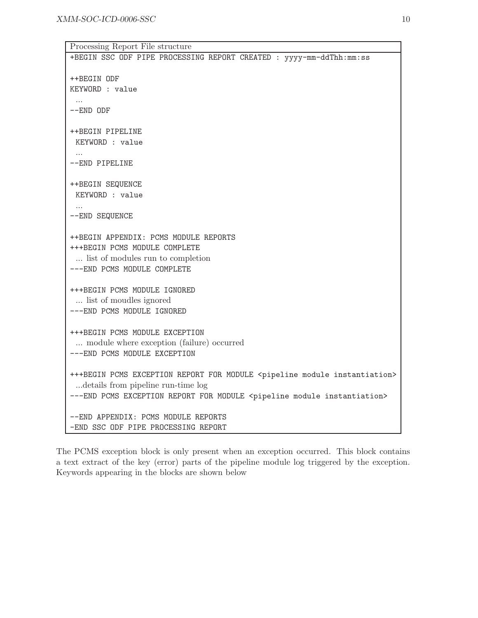| Processing Report File structure                                                                                                                                                                                                |
|---------------------------------------------------------------------------------------------------------------------------------------------------------------------------------------------------------------------------------|
| +BEGIN SSC ODF PIPE PROCESSING REPORT CREATED : yyyy-mm-ddThh:mm:ss                                                                                                                                                             |
| ++BEGIN ODF<br>KEYWORD : value<br>$--END$ ODF                                                                                                                                                                                   |
|                                                                                                                                                                                                                                 |
| ++BEGIN PIPELINE<br>KEYWORD : value                                                                                                                                                                                             |
| --END PIPELINE                                                                                                                                                                                                                  |
| ++BEGIN SEQUENCE<br>KEYWORD : value<br>--END SEQUENCE                                                                                                                                                                           |
| ++BEGIN APPENDIX: PCMS MODULE REPORTS<br>+++BEGIN PCMS MODULE COMPLETE<br>list of modules run to completion<br>--- END PCMS MODULE COMPLETE                                                                                     |
| +++BEGIN PCMS MODULE IGNORED<br>list of moudles ignored<br>---END PCMS MODULE IGNORED                                                                                                                                           |
| +++BEGIN PCMS MODULE EXCEPTION<br>module where exception (failure) occurred<br>--- END PCMS MODULE EXCEPTION                                                                                                                    |
| +++BEGIN PCMS EXCEPTION REPORT FOR MODULE <pipeline instantiation="" module=""><br/> details from pipeline run-time log<br/>---END PCMS EXCEPTION REPORT FOR MODULE <pipeline instantiation="" module=""></pipeline></pipeline> |
| --END APPENDIX: PCMS MODULE REPORTS<br>-END SSC ODF PIPE PROCESSING REPORT                                                                                                                                                      |

The PCMS exception block is only present when an exception occurred. This block contains a text extract of the key (error) parts of the pipeline module log triggered by the exception. Keywords appearing in the blocks are shown below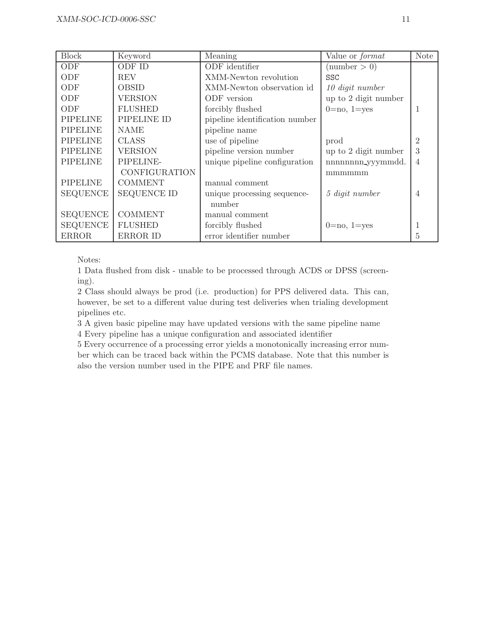| <b>Block</b>    | Keyword              | Meaning                        | Value or format      | <b>Note</b>    |
|-----------------|----------------------|--------------------------------|----------------------|----------------|
| ODF             | ODF ID               | ODF identifier                 | (number > 0)         |                |
| ODF             | <b>REV</b>           | XMM-Newton revolution          | <b>SSC</b>           |                |
| ODF             | <b>OBSID</b>         | XMM-Newton observation id      | 10 digit number      |                |
| <b>ODF</b>      | <b>VERSION</b>       | ODF version                    | up to 2 digit number |                |
| ODF             | <b>FLUSHED</b>       | forcibly flushed               | $0=$ no, $1=$ yes    |                |
| <b>PIPELINE</b> | PIPELINE ID          | pipeline identification number |                      |                |
| <b>PIPELINE</b> | <b>NAME</b>          | pipeline name                  |                      |                |
| <b>PIPELINE</b> | <b>CLASS</b>         | use of pipeline                | prod                 | $\overline{2}$ |
| <b>PIPELINE</b> | VERSION              | pipeline version number        | up to 2 digit number | 3              |
| <b>PIPELINE</b> | PIPELINE-            | unique pipeline configuration  | nnnnnnn yyymmdd.     | 4              |
|                 | <b>CONFIGURATION</b> |                                | mmmmmm               |                |
| <b>PIPELINE</b> | <b>COMMENT</b>       | manual comment                 |                      |                |
| <b>SEQUENCE</b> | <b>SEQUENCE ID</b>   | unique processing sequence-    | 5 digit number       | $\overline{4}$ |
|                 |                      | number                         |                      |                |
| <b>SEQUENCE</b> | <b>COMMENT</b>       | manual comment                 |                      |                |
| <b>SEQUENCE</b> | <b>FLUSHED</b>       | forcibly flushed               | $0=$ no, $1=$ yes    |                |
| <b>ERROR</b>    | ERROR ID             | error identifier number        |                      | 5              |

Notes:

1 Data flushed from disk - unable to be processed through ACDS or DPSS (screening).

2 Class should always be prod (i.e. production) for PPS delivered data. This can, however, be set to a different value during test deliveries when trialing development pipelines etc.

3 A given basic pipeline may have updated versions with the same pipeline name 4 Every pipeline has a unique configuration and associated identifier

5 Every occurrence of a processing error yields a monotonically increasing error number which can be traced back within the PCMS database. Note that this number is also the version number used in the PIPE and PRF file names.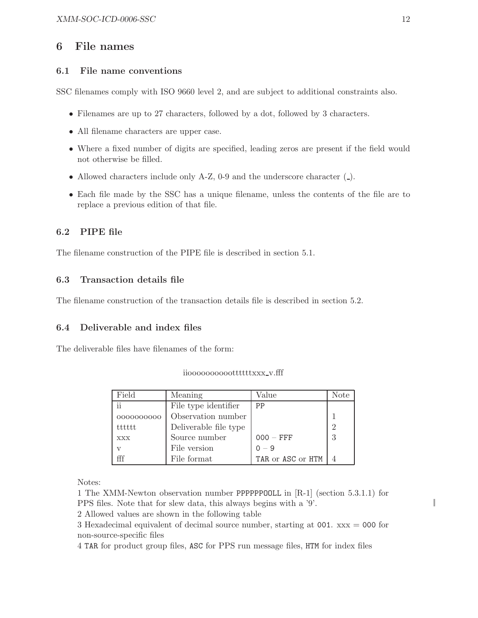## 6 File names

## 6.1 File name conventions

SSC filenames comply with ISO 9660 level 2, and are subject to additional constraints also.

- Filenames are up to 27 characters, followed by a dot, followed by 3 characters.
- All filename characters are upper case.
- Where a fixed number of digits are specified, leading zeros are present if the field would not otherwise be filled.
- Allowed characters include only  $A-Z$ , 0-9 and the underscore character  $($ .).
- Each file made by the SSC has a unique filename, unless the contents of the file are to replace a previous edition of that file.

## 6.2 PIPE file

The filename construction of the PIPE file is described in section 5.1.

### 6.3 Transaction details file

The filename construction of the transaction details file is described in section 5.2.

#### 6.4 Deliverable and index files

The deliverable files have filenames of the form:

| Field        | Meaning               | Value             | Note          |
|--------------|-----------------------|-------------------|---------------|
| ii           | File type identifier  | PP                |               |
| 0000000000   | Observation number    |                   |               |
| tttttt       | Deliverable file type |                   | $\mathcal{D}$ |
| <b>XXX</b>   | Source number         | $000 - FFF$       | 3             |
| $\mathbf{V}$ | File version          | $0 - 9$           |               |
|              | File format           | TAR or ASC or HTM |               |

iiooooooooooottttttxxx\_v.fff

Notes:

1 The XMM-Newton observation number PPPPPPOOLL in [R-1] (section 5.3.1.1) for PPS files. Note that for slew data, this always begins with a '9'.

2 Allowed values are shown in the following table

3 Hexadecimal equivalent of decimal source number, starting at  $001$ .  $xxx = 000$  for non-source-specific files

4 TAR for product group files, ASC for PPS run message files, HTM for index files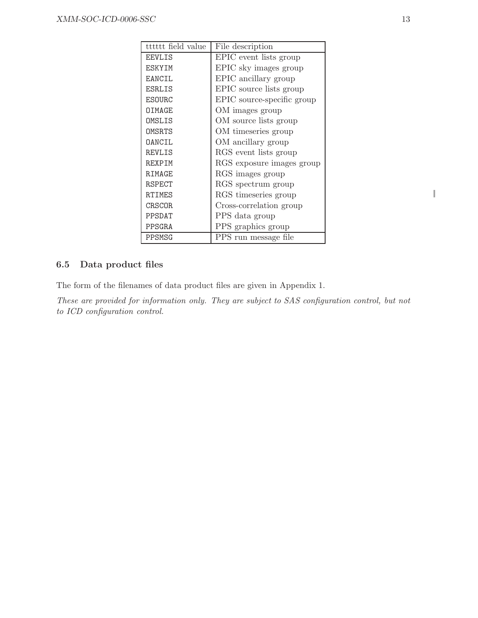| tttttt field value | File description           |
|--------------------|----------------------------|
| <b>EEVLIS</b>      | EPIC event lists group     |
| ESKYIM             | EPIC sky images group      |
| <b>EANCIL</b>      | EPIC ancillary group       |
| ESRLIS             | EPIC source lists group    |
| ESOURC             | EPIC source-specific group |
| OIMAGE             | OM images group            |
| OMSLIS             | OM source lists group      |
| OMSRTS             | OM timeseries group        |
| OANCIL             | OM ancillary group         |
| <b>REVLIS</b>      | RGS event lists group      |
| REXPIM             | RGS exposure images group  |
| RIMAGE             | RGS images group           |
| RSPECT             | RGS spectrum group         |
| <b>RTIMES</b>      | RGS timeseries group       |
| CRSCOR             | Cross-correlation group    |
| PPSDAT             | PPS data group             |
| PPSGRA             | PPS graphics group         |
| PPSMSG             | PPS run message file       |

## 6.5 Data product files

The form of the filenames of data product files are given in Appendix 1.

These are provided for information only. They are subject to SAS configuration control, but not to ICD configuration control.

I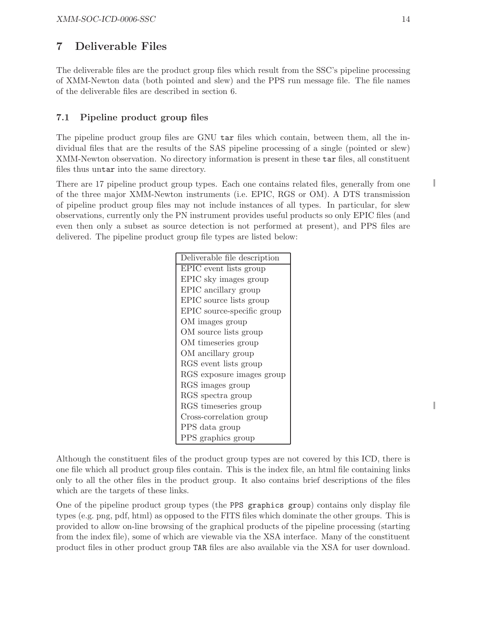## 7 Deliverable Files

The deliverable files are the product group files which result from the SSC's pipeline processing of XMM-Newton data (both pointed and slew) and the PPS run message file. The file names of the deliverable files are described in section 6.

## 7.1 Pipeline product group files

The pipeline product group files are GNU tar files which contain, between them, all the individual files that are the results of the SAS pipeline processing of a single (pointed or slew) XMM-Newton observation. No directory information is present in these tar files, all constituent files thus untar into the same directory.

There are 17 pipeline product group types. Each one contains related files, generally from one of the three major XMM-Newton instruments (i.e. EPIC, RGS or OM). A DTS transmission of pipeline product group files may not include instances of all types. In particular, for slew observations, currently only the PN instrument provides useful products so only EPIC files (and even then only a subset as source detection is not performed at present), and PPS files are delivered. The pipeline product group file types are listed below:

| Deliverable file description |
|------------------------------|
| EPIC event lists group       |
| EPIC sky images group        |
| EPIC ancillary group         |
| EPIC source lists group      |
| EPIC source-specific group   |
| OM images group              |
| OM source lists group        |
| OM timeseries group          |
| OM ancillary group           |
| RGS event lists group        |
| RGS exposure images group    |
| RGS images group             |
| RGS spectra group            |
| RGS timeseries group         |
| Cross-correlation group      |
| PPS data group               |
| PPS graphics group           |

Although the constituent files of the product group types are not covered by this ICD, there is one file which all product group files contain. This is the index file, an html file containing links only to all the other files in the product group. It also contains brief descriptions of the files which are the targets of these links.

One of the pipeline product group types (the PPS graphics group) contains only display file types (e.g. png, pdf, html) as opposed to the FITS files which dominate the other groups. This is provided to allow on-line browsing of the graphical products of the pipeline processing (starting from the index file), some of which are viewable via the XSA interface. Many of the constituent product files in other product group TAR files are also available via the XSA for user download. ı

I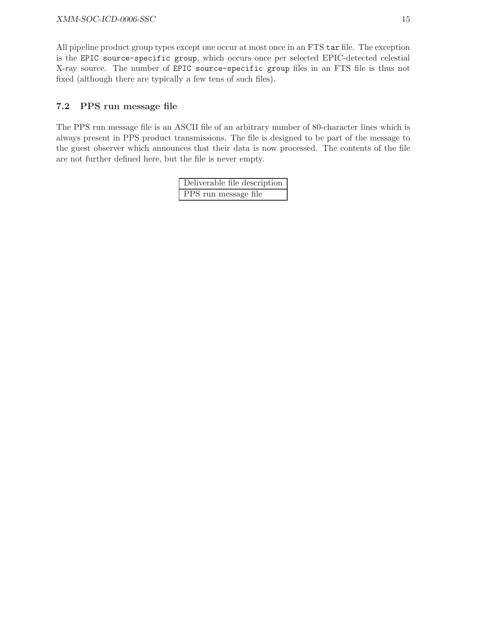All pipeline product group types except one occur at most once in an FTS tar file. The exception is the EPIC source-specific group, which occurs once per selected EPIC-detected celestial X-ray source. The number of EPIC source-specific group files in an FTS file is thus not fixed (although there are typically a few tens of such files).

## 7.2 PPS run message file

The PPS run message file is an ASCII file of an arbitrary number of 80-character lines which is always present in PPS product transmissions. The file is designed to be part of the message to the guest observer which announces that their data is now processed. The contents of the file are not further defined here, but the file is never empty.

| Deliverable file description |
|------------------------------|
| PPS run message file         |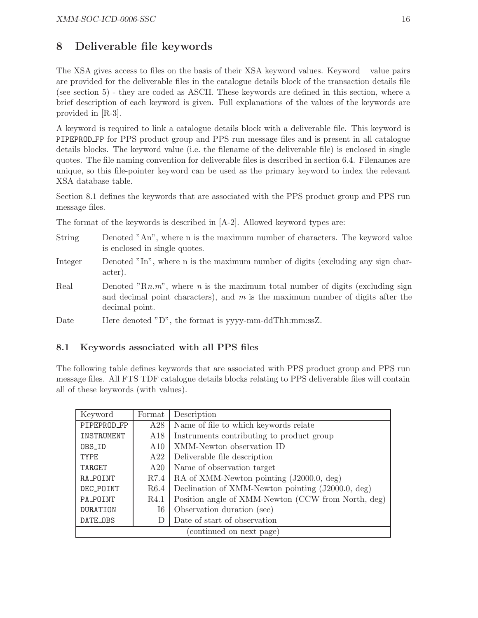## 8 Deliverable file keywords

The XSA gives access to files on the basis of their XSA keyword values. Keyword – value pairs are provided for the deliverable files in the catalogue details block of the transaction details file (see section 5) - they are coded as ASCII. These keywords are defined in this section, where a brief description of each keyword is given. Full explanations of the values of the keywords are provided in [R-3].

A keyword is required to link a catalogue details block with a deliverable file. This keyword is PIPEPROD FP for PPS product group and PPS run message files and is present in all catalogue details blocks. The keyword value (i.e. the filename of the deliverable file) is enclosed in single quotes. The file naming convention for deliverable files is described in section 6.4. Filenames are unique, so this file-pointer keyword can be used as the primary keyword to index the relevant XSA database table.

Section 8.1 defines the keywords that are associated with the PPS product group and PPS run message files.

The format of the keywords is described in [A-2]. Allowed keyword types are:

- String Denoted "An", where n is the maximum number of characters. The keyword value is enclosed in single quotes.
- Integer Denoted "In", where n is the maximum number of digits (excluding any sign character).
- Real Denoted "Rn.m", where n is the maximum total number of digits (excluding sign and decimal point characters), and  $m$  is the maximum number of digits after the decimal point.
- Date Here denoted "D", the format is yyyy-mm-ddThh:mm:ssZ.

## 8.1 Keywords associated with all PPS files

The following table defines keywords that are associated with PPS product group and PPS run message files. All FTS TDF catalogue details blocks relating to PPS deliverable files will contain all of these keywords (with values).

| Keyword                  | Format | Description                                        |  |
|--------------------------|--------|----------------------------------------------------|--|
| PIPEPROD_FP              | A28    | Name of file to which keywords relate              |  |
| INSTRUMENT               | A18    | Instruments contributing to product group          |  |
| OBS_ID                   | A10    | XMM-Newton observation ID                          |  |
| <b>TYPE</b>              | A22    | Deliverable file description                       |  |
| TARGET                   | A20    | Name of observation target                         |  |
| RA_POINT                 | R7.4   | RA of XMM-Newton pointing (J2000.0, deg)           |  |
| DEC_POINT                | R6.4   | Declination of XMM-Newton pointing (J2000.0, deg)  |  |
| PA_POINT                 | R4.1   | Position angle of XMM-Newton (CCW from North, deg) |  |
| <b>DURATION</b>          | $16\,$ | Observation duration (sec)                         |  |
| DATE_OBS                 | D      | Date of start of observation                       |  |
| (continued on next page) |        |                                                    |  |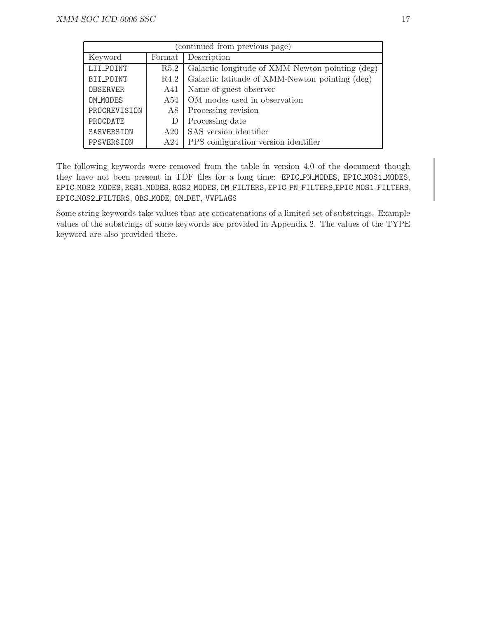| (continued from previous page) |        |                                                 |  |
|--------------------------------|--------|-------------------------------------------------|--|
| Keyword                        | Format | Description                                     |  |
| LII_POINT                      | R5.2   | Galactic longitude of XMM-Newton pointing (deg) |  |
| BII_POINT                      | R4.2   | Galactic latitude of XMM-Newton pointing (deg)  |  |
| <b>OBSERVER</b>                | A41    | Name of guest observer                          |  |
| OM_MODES                       | A54    | OM modes used in observation                    |  |
| PROCREVISION                   | A8     | Processing revision                             |  |
| PROCDATE                       | D      | Processing date                                 |  |
| SASVERSION                     | A20    | SAS version identifier                          |  |
| PPSVERSION                     | A24    | PPS configuration version identifier            |  |

The following keywords were removed from the table in version 4.0 of the document though they have not been present in TDF files for a long time: EPIC PN MODES, EPIC MOS1 MODES, EPIC MOS2 MODES, RGS1 MODES, RGS2 MODES, OM FILTERS, EPIC PN FILTERS,EPIC MOS1 FILTERS, EPIC MOS2 FILTERS, OBS MODE, OM DET, VVFLAGS

Some string keywords take values that are concatenations of a limited set of substrings. Example values of the substrings of some keywords are provided in Appendix 2. The values of the TYPE keyword are also provided there.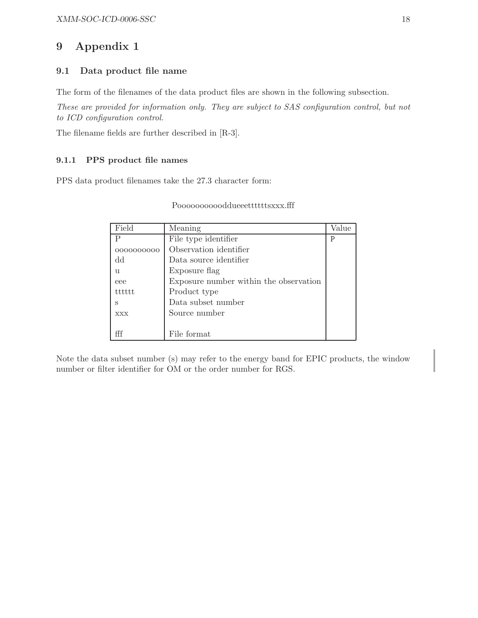## 9 Appendix 1

## 9.1 Data product file name

The form of the filenames of the data product files are shown in the following subsection.

These are provided for information only. They are subject to SAS configuration control, but not to ICD configuration control.

The filename fields are further described in [R-3].

### 9.1.1 PPS product file names

PPS data product filenames take the 27.3 character form:

| Field      | Meaning                                | Value |
|------------|----------------------------------------|-------|
| Ρ          | File type identifier                   | Ρ     |
| 0000000000 | Observation identifier                 |       |
| dd         | Data source identifier                 |       |
| u          | Exposure flag                          |       |
| eee        | Exposure number within the observation |       |
| tttttt     | Product type                           |       |
| S          | Data subset number                     |       |
| <b>XXX</b> | Source number                          |       |
|            |                                        |       |
|            | File format                            |       |

#### Poooooooooooddueeettttttsxxx.fff

Note the data subset number (s) may refer to the energy band for EPIC products, the window number or filter identifier for OM or the order number for RGS.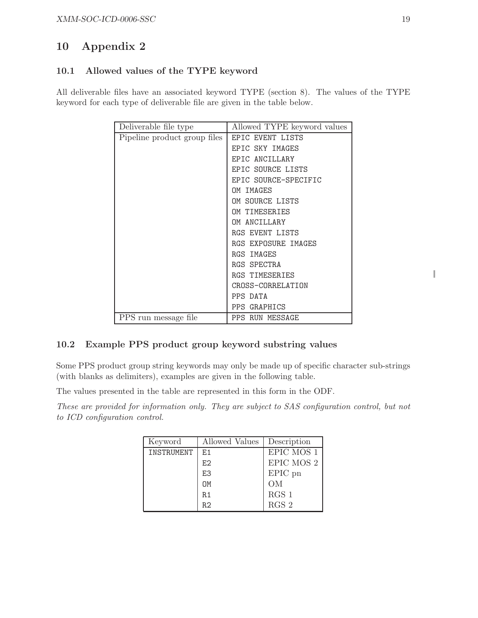## 10 Appendix 2

## 10.1 Allowed values of the TYPE keyword

All deliverable files have an associated keyword TYPE (section 8). The values of the TYPE keyword for each type of deliverable file are given in the table below.

| Deliverable file type        | Allowed TYPE keyword values |
|------------------------------|-----------------------------|
| Pipeline product group files | <b>EPIC EVENT LISTS</b>     |
|                              | <b>EPIC SKY IMAGES</b>      |
|                              | EPIC ANCILLARY              |
|                              | EPIC SOURCE LISTS           |
|                              | EPIC SOURCE-SPECIFIC        |
|                              | OM IMAGES                   |
|                              | OM SOURCE LISTS             |
|                              | OM TIMESERIES               |
|                              | OM ANCILLARY                |
|                              | RGS EVENT LISTS             |
|                              | RGS EXPOSURE IMAGES         |
|                              | RGS IMAGES                  |
|                              | RGS SPECTRA                 |
|                              | <b>RGS TIMESERIES</b>       |
|                              | CROSS-CORRELATION           |
|                              | PPS DATA                    |
|                              | PPS GRAPHICS                |
| PPS run message file         | PPS RUN MESSAGE             |

## 10.2 Example PPS product group keyword substring values

Some PPS product group string keywords may only be made up of specific character sub-strings (with blanks as delimiters), examples are given in the following table.

The values presented in the table are represented in this form in the ODF.

These are provided for information only. They are subject to SAS configuration control, but not to ICD configuration control.

| Keyword    | Allowed Values | Description |
|------------|----------------|-------------|
| INSTRUMENT | F.1            | EPIC MOS 1  |
|            | F.2            | EPIC MOS 2  |
|            | E3             | EPIC pn     |
|            | <b>DN</b>      | OМ          |
|            | R.1            | $RGS$ 1     |
|            | R2             | $RGS$ 2     |

I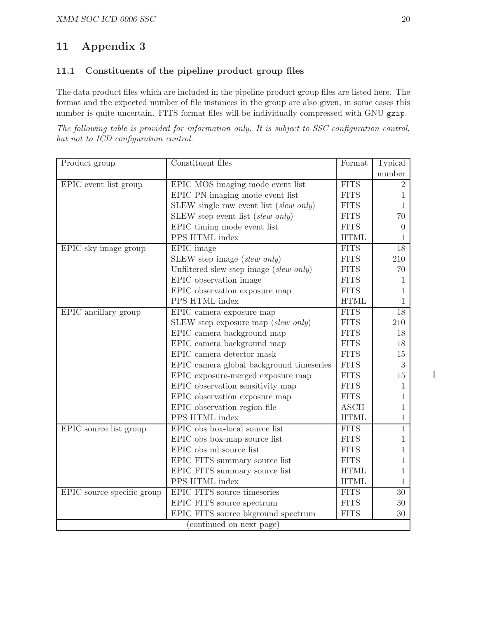## 11 Appendix 3

## 11.1 Constituents of the pipeline product group files

The data product files which are included in the pipeline product group files are listed here. The format and the expected number of file instances in the group are also given, in some cases this number is quite uncertain. FITS format files will be individually compressed with GNU gzip.

The following table is provided for information only. It is subject to SSC configuration control, but not to ICD configuration control.

| Product group              | Constituent files                        | Format       | Typical        |
|----------------------------|------------------------------------------|--------------|----------------|
|                            |                                          |              | number         |
| EPIC event list group      | EPIC MOS imaging mode event list         | <b>FITS</b>  | $\overline{2}$ |
|                            | EPIC PN imaging mode event list          | <b>FITS</b>  | $\mathbf{1}$   |
|                            | SLEW single raw event list (slew only)   | <b>FITS</b>  | $\mathbf{1}$   |
|                            | SLEW step event list (slew only)         | <b>FITS</b>  | 70             |
|                            | EPIC timing mode event list              | <b>FITS</b>  | $\Omega$       |
|                            | PPS HTML index                           | <b>HTML</b>  | 1              |
| EPIC sky image group       | $E\overline{PIC}$ image                  | <b>FITS</b>  | 18             |
|                            | SLEW step image (slew only)              | <b>FITS</b>  | 210            |
|                            | Unfiltered slew step image (slew only)   | <b>FITS</b>  | 70             |
|                            | EPIC observation image                   | <b>FITS</b>  | 1              |
|                            | EPIC observation exposure map            | <b>FITS</b>  | 1              |
|                            | PPS HTML index                           | <b>HTML</b>  | 1              |
| EPIC ancillary group       | EPIC camera exposure map                 | <b>FITS</b>  | 18             |
|                            | SLEW step exposure map (slew only)       | <b>FITS</b>  | 210            |
|                            | EPIC camera background map               | <b>FITS</b>  | 18             |
|                            | EPIC camera background map               | <b>FITS</b>  | 18             |
|                            | EPIC camera detector mask                | <b>FITS</b>  | 15             |
|                            | EPIC camera global background timeseries | <b>FITS</b>  | $\sqrt{3}$     |
|                            | EPIC exposure-merged exposure map        | <b>FITS</b>  | $15\,$         |
|                            | EPIC observation sensitivity map         | <b>FITS</b>  | 1              |
|                            | EPIC observation exposure map            | <b>FITS</b>  | 1              |
|                            | EPIC observation region file             | <b>ASCII</b> | 1              |
|                            | PPS HTML index                           | <b>HTML</b>  | $\mathbf{1}$   |
| EPIC source list group     | EPIC obs box-local source list           | <b>FITS</b>  | $\mathbf 1$    |
|                            | EPIC obs box-map source list             | <b>FITS</b>  | $\mathbf{1}$   |
|                            | EPIC obs ml source list                  | <b>FITS</b>  | 1              |
|                            | EPIC FITS summary source list            | <b>FITS</b>  | 1              |
|                            | EPIC FITS summary source list            | <b>HTML</b>  | 1              |
|                            | PPS HTML index                           | <b>HTML</b>  | 1              |
| EPIC source-specific group | EPIC FITS source timeseries              | <b>FITS</b>  | 30             |
|                            | EPIC FITS source spectrum                | <b>FITS</b>  | 30             |
|                            | EPIC FITS source bkground spectrum       | <b>FITS</b>  | 30             |
| (continued on next page)   |                                          |              |                |

I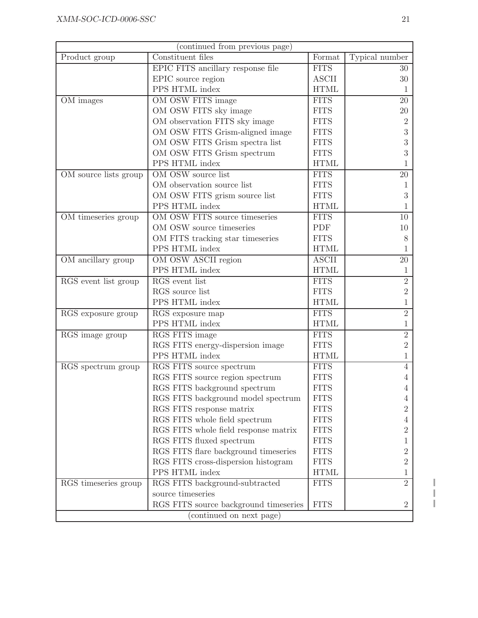| (continued from previous page)          |                                       |              |                |  |
|-----------------------------------------|---------------------------------------|--------------|----------------|--|
| Product group                           | Constituent files                     | Format       | Typical number |  |
|                                         | EPIC FITS ancillary response file     | <b>FITS</b>  | 30             |  |
|                                         | EPIC source region                    | <b>ASCII</b> | 30             |  |
|                                         | PPS HTML index                        | <b>HTML</b>  | 1              |  |
| OM images                               | OM OSW FITS image                     | <b>FITS</b>  | 20             |  |
|                                         | OM OSW FITS sky image                 | <b>FITS</b>  | $20\,$         |  |
|                                         | OM observation FITS sky image         | <b>FITS</b>  | $\overline{2}$ |  |
|                                         | OM OSW FITS Grism-aligned image       | <b>FITS</b>  | 3              |  |
|                                         | OM OSW FITS Grism spectra list        | <b>FITS</b>  | 3              |  |
|                                         | OM OSW FITS Grism spectrum            | <b>FITS</b>  | 3              |  |
|                                         | PPS HTML index                        | <b>HTML</b>  |                |  |
| OM source lists group                   | OM OSW source list                    | <b>FITS</b>  | 20             |  |
|                                         | OM observation source list            | <b>FITS</b>  | 1              |  |
|                                         | OM OSW FITS grism source list         | <b>FITS</b>  | 3              |  |
|                                         | PPS HTML index                        | <b>HTML</b>  |                |  |
| OM timeseries group                     | OM OSW FITS source timeseries         | <b>FITS</b>  | 10             |  |
|                                         | OM OSW source timeseries              | PDF          | 10             |  |
|                                         | OM FITS tracking star timeseries      | <b>FITS</b>  | 8              |  |
|                                         | PPS HTML index                        | <b>HTML</b>  | 1              |  |
| OM ancillary group                      | OM OSW ASCII region                   | <b>ASCII</b> | 20             |  |
|                                         | PPS HTML index                        | <b>HTML</b>  | 1              |  |
| RGS event list group                    | RGS event list                        | <b>FITS</b>  | $\overline{2}$ |  |
|                                         | RGS source list                       | <b>FITS</b>  | $\overline{2}$ |  |
|                                         | PPS HTML index                        | <b>HTML</b>  | 1              |  |
| $\overline{\text{RG}}$ S exposure group | RGS exposure map                      | <b>FITS</b>  | $\overline{2}$ |  |
|                                         | PPS HTML index                        | <b>HTML</b>  | 1              |  |
| RGS image group                         | <b>RGS FITS</b> image                 | <b>FITS</b>  | $\overline{2}$ |  |
|                                         | RGS FITS energy-dispersion image      | <b>FITS</b>  | $\overline{2}$ |  |
|                                         | PPS HTML index                        | <b>HTML</b>  | 1              |  |
| RGS spectrum group                      | RGS FITS source spectrum              | <b>FITS</b>  | $\overline{4}$ |  |
|                                         | RGS FITS source region spectrum       | <b>FITS</b>  |                |  |
|                                         | RGS FITS background spectrum          | <b>FITS</b>  | 4              |  |
|                                         | RGS FITS background model spectrum    | <b>FITS</b>  | 4              |  |
|                                         | RGS FITS response matrix              | <b>FITS</b>  | $\overline{2}$ |  |
|                                         | RGS FITS whole field spectrum         | <b>FITS</b>  | 4              |  |
|                                         | RGS FITS whole field response matrix  | <b>FITS</b>  | $\overline{2}$ |  |
|                                         | RGS FITS fluxed spectrum              | <b>FITS</b>  | T              |  |
|                                         | RGS FITS flare background timeseries  | <b>FITS</b>  | 2              |  |
|                                         | RGS FITS cross-dispersion histogram   | <b>FITS</b>  | $\overline{2}$ |  |
|                                         | PPS HTML index                        | <b>HTML</b>  | 1              |  |
| RGS timeseries group                    | RGS FITS background-subtracted        | <b>FITS</b>  | $\overline{2}$ |  |
|                                         | source timeseries                     |              |                |  |
|                                         | RGS FITS source background timeseries | <b>FITS</b>  | $\sqrt{2}$     |  |
| (continued on next page)                |                                       |              |                |  |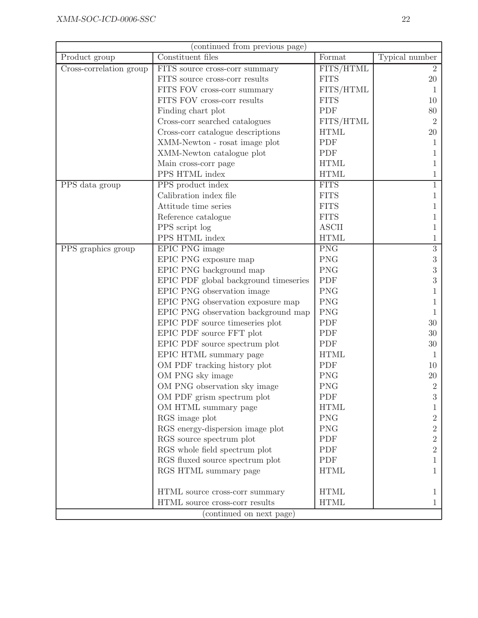| (continued from previous page) |                                       |                        |                |
|--------------------------------|---------------------------------------|------------------------|----------------|
| Product group                  | Constituent files                     | Format                 | Typical number |
| Cross-correlation group        | FITS source cross-corr summary        | FITS/HTML              | $\overline{2}$ |
|                                | FITS source cross-corr results        | <b>FITS</b>            | 20             |
|                                | FITS FOV cross-corr summary           | FITS/HTML              | 1              |
|                                | FITS FOV cross-corr results           | <b>FITS</b>            | 10             |
|                                | Finding chart plot                    | PDF                    | 80             |
|                                | Cross-corr searched catalogues        | FITS/HTML              | $\overline{2}$ |
|                                | Cross-corr catalogue descriptions     | <b>HTML</b>            | 20             |
|                                | XMM-Newton - rosat image plot         | PDF                    | 1              |
|                                | XMM-Newton catalogue plot             | PDF                    | 1              |
|                                | Main cross-corr page                  | <b>HTML</b>            | 1              |
|                                | PPS HTML index                        | <b>HTML</b>            | 1              |
| PPS data group                 | PPS product index                     | <b>FITS</b>            |                |
|                                | Calibration index file                | <b>FITS</b>            |                |
|                                | Attitude time series                  | <b>FITS</b>            |                |
|                                | Reference catalogue                   | <b>FITS</b>            |                |
|                                | PPS script log                        | $\operatorname{ASCII}$ | 1              |
|                                | PPS HTML index                        | <b>HTML</b>            | 1              |
| PPS graphics group             | EPIC PNG image                        | <b>PNG</b>             | $\sqrt{3}$     |
|                                | EPIC PNG exposure map                 | <b>PNG</b>             | 3              |
|                                | EPIC PNG background map               | <b>PNG</b>             | 3              |
|                                | EPIC PDF global background timeseries | PDF                    | 3              |
|                                | EPIC PNG observation image            | <b>PNG</b>             |                |
|                                | EPIC PNG observation exposure map     | <b>PNG</b>             |                |
|                                | EPIC PNG observation background map   | <b>PNG</b>             | 1              |
|                                | EPIC PDF source timeseries plot       | PDF                    | 30             |
|                                | EPIC PDF source FFT plot              | PDF                    | 30             |
|                                | EPIC PDF source spectrum plot         | PDF                    | 30             |
|                                | EPIC HTML summary page                | <b>HTML</b>            | 1              |
|                                | OM PDF tracking history plot          | PDF                    | 10             |
|                                | OM PNG sky image                      | <b>PNG</b>             | 20             |
|                                | OM PNG observation sky image          | <b>PNG</b>             | $\overline{2}$ |
|                                | OM PDF grism spectrum plot            | PDF                    | 3              |
|                                | OM HTML summary page                  | <b>HTML</b>            |                |
|                                | RGS image plot                        | <b>PNG</b>             | 2              |
|                                | RGS energy-dispersion image plot      | <b>PNG</b>             | $\overline{2}$ |
|                                | RGS source spectrum plot              | PDF                    | $\overline{2}$ |
|                                | RGS whole field spectrum plot         | PDF                    | $\overline{2}$ |
|                                | RGS fluxed source spectrum plot       | PDF                    | 1              |
|                                | RGS HTML summary page                 | <b>HTML</b>            | $\mathbf{1}$   |
|                                | HTML source cross-corr summary        | <b>HTML</b>            | 1              |
|                                | HTML source cross-corr results        | <b>HTML</b>            | $\mathbf 1$    |
|                                | (continued on next page)              |                        |                |